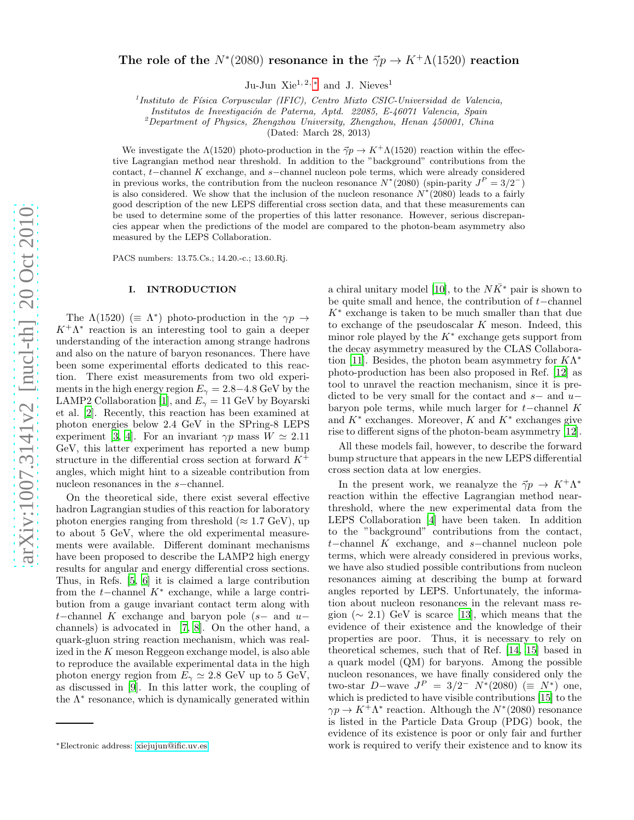# The role of the  $N^*(2080)$  resonance in the  $\vec{\gamma}p \rightarrow K^+\Lambda(1520)$  reaction

Ju-Jun Xie<sup>1, 2,  $*$ </sup> and J. Nieves<sup>1</sup>

<sup>1</sup> Instituto de Física Corpuscular (IFIC), Centro Mixto CSIC-Universidad de Valencia,

*Institutos de Investigaci´on de Paterna, Aptd. 22085, E-46071 Valencia, Spain*

<sup>2</sup>*Department of Physics, Zhengzhou University, Zhengzhou, Henan 450001, China*

(Dated: March 28, 2013)

We investigate the  $\Lambda(1520)$  photo-production in the  $\vec{\gamma}p \to K^+\Lambda(1520)$  reaction within the effective Lagrangian method near threshold. In addition to the "background" contributions from the contact, t−channel K exchange, and s−channel nucleon pole terms, which were already considered in previous works, the contribution from the nucleon resonance  $N^*(2080)$  (spin-parity  $J^P = 3/2^-$ ) is also considered. We show that the inclusion of the nucleon resonance  $N^*(2080)$  leads to a fairly good description of the new LEPS differential cross section data, and that these measurements can be used to determine some of the properties of this latter resonance. However, serious discrepancies appear when the predictions of the model are compared to the photon-beam asymmetry also measured by the LEPS Collaboration.

PACS numbers: 13.75.Cs.; 14.20.-c.; 13.60.Rj.

### I. INTRODUCTION

The  $\Lambda(1520)$  ( $\equiv \Lambda^*$ ) photo-production in the  $\gamma p \to$  $K^+\Lambda^*$  reaction is an interesting tool to gain a deeper understanding of the interaction among strange hadrons and also on the nature of baryon resonances. There have been some experimental efforts dedicated to this reaction. There exist measurements from two old experiments in the high energy region  $E_{\gamma} = 2.8 - 4.8$  GeV by the LAMP2 Collaboration [\[1](#page-7-0)], and  $E_{\gamma} = 11$  GeV by Boyarski et al. [\[2](#page-7-1)]. Recently, this reaction has been examined at photon energies below 2.4 GeV in the SPring-8 LEPS experiment [\[3](#page-7-2), [4](#page-7-3)]. For an invariant  $\gamma p$  mass  $W \simeq 2.11$ GeV, this latter experiment has reported a new bump structure in the differential cross section at forward  $K^+$ angles, which might hint to a sizeable contribution from nucleon resonances in the s−channel.

On the theoretical side, there exist several effective hadron Lagrangian studies of this reaction for laboratory photon energies ranging from threshold ( $\approx 1.7 \text{ GeV}$ ), up to about 5 GeV, where the old experimental measurements were available. Different dominant mechanisms have been proposed to describe the LAMP2 high energy results for angular and energy differential cross sections. Thus, in Refs. [\[5](#page-7-4), [6\]](#page-7-5) it is claimed a large contribution from the  $t$ −channel  $K^*$  exchange, while a large contribution from a gauge invariant contact term along with t–channel K exchange and baryon pole  $(s-$  and  $u$ channels) is advocated in [\[7,](#page-7-6) [8\]](#page-7-7). On the other hand, a quark-gluon string reaction mechanism, which was realized in the K meson Reggeon exchange model, is also able to reproduce the available experimental data in the high photon energy region from  $E_{\gamma} \simeq 2.8$  GeV up to 5 GeV, as discussed in [\[9](#page-7-8)]. In this latter work, the coupling of the Λ<sup>∗</sup> resonance, which is dynamically generated within

a chiral unitary model [\[10\]](#page-7-9), to the  $N\bar{K}^*$  pair is shown to be quite small and hence, the contribution of t−channel  $K^*$  exchange is taken to be much smaller than that due to exchange of the pseudoscalar  $K$  meson. Indeed, this minor role played by the  $K^*$  exchange gets support from the decay asymmetry measured by the CLAS Collabora-tion [\[11](#page-7-10)]. Besides, the photon beam asymmetry for  $K\Lambda^*$ photo-production has been also proposed in Ref. [\[12\]](#page-7-11) as tool to unravel the reaction mechanism, since it is predicted to be very small for the contact and  $s-$  and  $u$ baryon pole terms, while much larger for  $t$ −channel K and  $K^*$  exchanges. Moreover, K and  $K^*$  exchanges give rise to different signs of the photon-beam asymmetry [\[12\]](#page-7-11).

All these models fail, however, to describe the forward bump structure that appears in the new LEPS differential cross section data at low energies.

In the present work, we reanalyze the  $\vec{\gamma}p \to K^+\Lambda^*$ reaction within the effective Lagrangian method nearthreshold, where the new experimental data from the LEPS Collaboration [\[4](#page-7-3)] have been taken. In addition to the "background" contributions from the contact, t−channel K exchange, and s−channel nucleon pole terms, which were already considered in previous works, we have also studied possible contributions from nucleon resonances aiming at describing the bump at forward angles reported by LEPS. Unfortunately, the information about nucleon resonances in the relevant mass region ( $\sim 2.1$ ) GeV is scarce [\[13\]](#page-7-12), which means that the evidence of their existence and the knowledge of their properties are poor. Thus, it is necessary to rely on theoretical schemes, such that of Ref. [\[14](#page-7-13), [15](#page-7-14)] based in a quark model (QM) for baryons. Among the possible nucleon resonances, we have finally considered only the two-star  $D$ -wave  $J^P = 3/2^- N^*(2080) \ (\equiv N^*)$  one, which is predicted to have visible contributions [\[15\]](#page-7-14) to the  $\gamma p \to K^+ \Lambda^*$  reaction. Although the  $N^*(2080)$  resonance is listed in the Particle Data Group (PDG) book, the evidence of its existence is poor or only fair and further work is required to verify their existence and to know its

<span id="page-0-0"></span><sup>∗</sup>Electronic address: [xiejujun@ific.uv.es](mailto:xiejujun@ific.uv.es)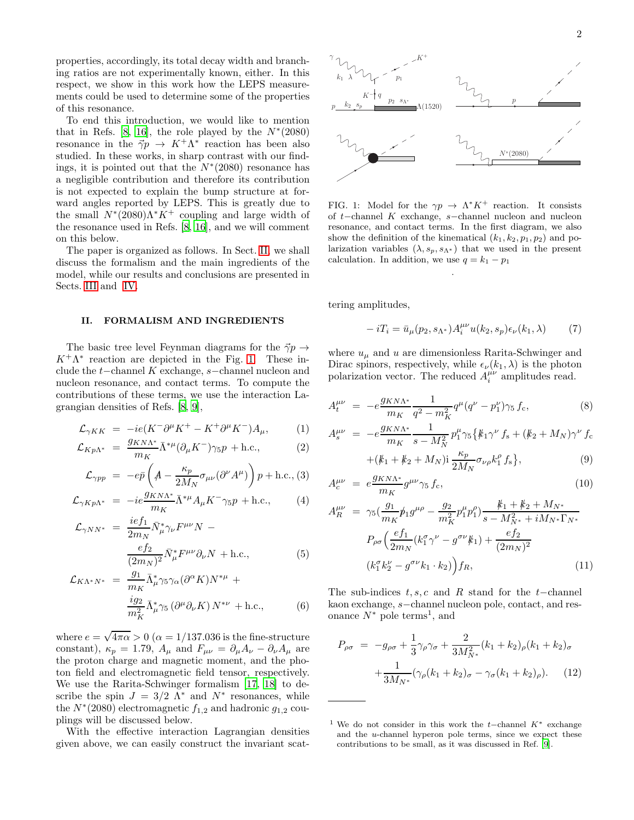properties, accordingly, its total decay width and branching ratios are not experimentally known, either. In this respect, we show in this work how the LEPS measurements could be used to determine some of the properties of this resonance.

To end this introduction, we would like to mention that in Refs. [\[8,](#page-7-7) [16](#page-7-15)], the role played by the  $N^*(2080)$ resonance in the  $\vec{\gamma}p \rightarrow K^+\Lambda^*$  reaction has been also studied. In these works, in sharp contrast with our findings, it is pointed out that the  $N^*(2080)$  resonance has a negligible contribution and therefore its contribution is not expected to explain the bump structure at forward angles reported by LEPS. This is greatly due to the small  $N^*(2080)\Lambda^*K^+$  coupling and large width of the resonance used in Refs. [\[8,](#page-7-7) [16\]](#page-7-15), and we will comment on this below.

The paper is organized as follows. In Sect. [II,](#page-1-0) we shall discuss the formalism and the main ingredients of the model, while our results and conclusions are presented in Sects. [III](#page-2-0) and [IV.](#page-6-0)

#### <span id="page-1-0"></span>II. FORMALISM AND INGREDIENTS

The basic tree level Feynman diagrams for the  $\vec{\gamma}p \rightarrow$  $K^+\Lambda^*$  reaction are depicted in the Fig. [1.](#page-1-1) These include the t−channel K exchange, s−channel nucleon and nucleon resonance, and contact terms. To compute the contributions of these terms, we use the interaction Lagrangian densities of Refs. [\[8,](#page-7-7) [9\]](#page-7-8),

<span id="page-1-3"></span>
$$
\mathcal{L}_{\gamma KK} = -ie(K^- \partial^{\mu} K^+ - K^+ \partial^{\mu} K^-) A_{\mu}, \tag{1}
$$

$$
\mathcal{L}_{Kp\Lambda^*} = \frac{g_{KN\Lambda^*}}{m_K} \bar{\Lambda}^{*\mu} (\partial_\mu K^-) \gamma_5 p + \text{h.c.}, \tag{2}
$$

$$
\mathcal{L}_{\gamma pp} = -e\bar{p} \left( A - \frac{\kappa_p}{2M_N} \sigma_{\mu\nu} (\partial^{\nu} A^{\mu}) \right) p + \text{h.c.}, (3)
$$

$$
\mathcal{L}_{\gamma K p \Lambda^*} = -ie \frac{g_{K N \Lambda^*}}{m_K} \bar{\Lambda}^{*\mu} A_\mu K^- \gamma_5 p + \text{h.c.}, \tag{4}
$$

$$
\mathcal{L}_{\gamma NN^*} = \frac{ie f_1}{2m_N} \bar{N}^*_{\mu} \gamma_{\nu} F^{\mu \nu} N -
$$

$$
\frac{e f_2}{(2m_N)^2} \bar{N}^*_{\mu} F^{\mu \nu} \partial_{\nu} N + \text{h.c.}, \tag{5}
$$

$$
\mathcal{L}_{K\Lambda^*N^*} = \frac{g_1}{m_K} \bar{\Lambda}^*_{\mu} \gamma_5 \gamma_\alpha (\partial^\alpha K) N^{*\mu} +
$$
  

$$
\frac{i g_2}{m_K^2} \bar{\Lambda}^*_{\mu} \gamma_5 (\partial^\mu \partial_\nu K) N^{*\nu} + \text{h.c.},
$$
 (6)

where  $e = \sqrt{4\pi\alpha} > 0$  ( $\alpha = 1/137.036$  is the fine-structure constant),  $\kappa_p = 1.79$ ,  $A_\mu$  and  $F_{\mu\nu} = \partial_\mu A_\nu - \partial_\nu A_\mu$  are the proton charge and magnetic moment, and the photon field and electromagnetic field tensor, respectively. We use the Rarita-Schwinger formalism [\[17](#page-7-16), [18](#page-7-17)] to describe the spin  $J = 3/2 \Lambda^*$  and  $N^*$  resonances, while the  $N^*(2080)$  electromagnetic  $f_{1,2}$  and hadronic  $g_{1,2}$  couplings will be discussed below.

With the effective interaction Lagrangian densities given above, we can easily construct the invariant scat2



<span id="page-1-1"></span>FIG. 1: Model for the  $\gamma p \to \Lambda^* K^+$  reaction. It consists of t−channel K exchange, s−channel nucleon and nucleon resonance, and contact terms. In the first diagram, we also show the definition of the kinematical  $(k_1, k_2, p_1, p_2)$  and polarization variables  $(\lambda, s_p, s_{\Lambda^*})$  that we used in the present calculation. In addition, we use  $q = k_1 - p_1$ 

.

tering amplitudes,

$$
-iT_i = \bar{u}_{\mu}(p_2, s_{\Lambda^*})A_i^{\mu\nu}u(k_2, s_p)\epsilon_{\nu}(k_1, \lambda) \tag{7}
$$

where  $u_{\mu}$  and u are dimensionless Rarita-Schwinger and Dirac spinors, respectively, while  $\epsilon_{\nu}(k_1, \lambda)$  is the photon polarization vector. The reduced  $A_i^{\mu\nu}$  amplitudes read.

<span id="page-1-2"></span>
$$
A_t^{\mu\nu} = -e \frac{g_{KN\Lambda^*}}{m_K} \frac{1}{q^2 - m_K^2} q^\mu (q^\nu - p_1^\nu) \gamma_5 f_c, \tag{8}
$$

$$
A_s^{\mu\nu} = -e \frac{g_{KN\Lambda^*}}{m_K} \frac{1}{s - M_N^2} p_1^{\mu} \gamma_5 \{ k_1 \gamma^{\nu} f_s + (k_2 + M_N) \gamma^{\nu} f_c
$$

$$
+(\n\kappa_1 + \n\kappa_2 + M_N)\mathrm{i}\frac{\kappa_p}{2M_N}\sigma_{\nu\rho}k_1^{\rho}f_s\n\},\tag{9}
$$

$$
A_c^{\mu\nu} = e \frac{g_{KN\Lambda^*}}{m_K} g^{\mu\nu} \gamma_5 f_c, \qquad (10)
$$

$$
A_{R}^{\mu\nu} = \gamma_{5} \left( \frac{g_{1}}{m_{K}} \not{p}_{1} g^{\mu\rho} - \frac{g_{2}}{m_{K}^{2}} p_{1}^{\mu} p_{1}^{\rho} \right) \frac{\not{k}_{1} + \not{k}_{2} + M_{N^{*}}}{s - M_{N^{*}}^{2} + i M_{N^{*}} \Gamma_{N^{*}}}
$$
\n
$$
P_{\rho\sigma} \left( \frac{e f_{1}}{2m_{N}} (k_{1}^{\sigma} \gamma^{\nu} - g^{\sigma\nu} k_{1}) + \frac{e f_{2}}{(2m_{N})^{2}} \right)
$$
\n
$$
(k_{1}^{\sigma} k_{2}^{\nu} - g^{\sigma\nu} k_{1} \cdot k_{2}) \bigg) f_{R}, \qquad (11)
$$

The sub-indices  $t, s, c$  and R stand for the t–channel kaon exchange, s−channel nucleon pole, contact, and resonance  $N^*$  pole terms<sup>1</sup>, and

$$
P_{\rho\sigma} = -g_{\rho\sigma} + \frac{1}{3}\gamma_{\rho}\gamma_{\sigma} + \frac{2}{3M_{N^*}^2}(k_1 + k_2)_{\rho}(k_1 + k_2)_{\sigma}
$$

$$
+ \frac{1}{3M_{N^*}}(\gamma_{\rho}(k_1 + k_2)_{\sigma} - \gamma_{\sigma}(k_1 + k_2)_{\rho}). \tag{12}
$$

<sup>&</sup>lt;sup>1</sup> We do not consider in this work the t–channel  $K^*$  exchange and the u-channel hyperon pole terms, since we expect these contributions to be small, as it was discussed in Ref. [\[9\]](#page-7-8).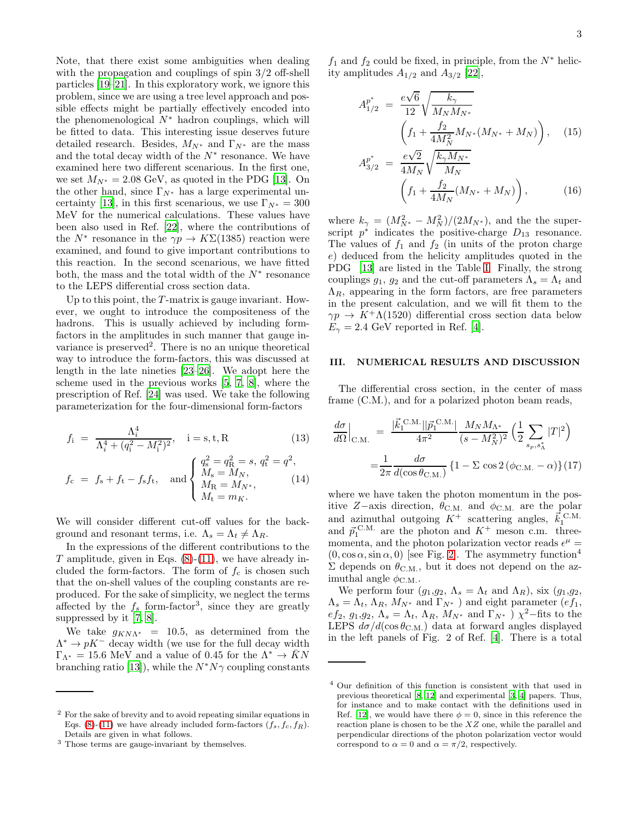Note, that there exist some ambiguities when dealing with the propagation and couplings of spin 3/2 off-shell particles [\[19](#page-7-18)[–21\]](#page-7-19). In this exploratory work, we ignore this problem, since we are using a tree level approach and possible effects might be partially effectively encoded into the phenomenological  $N^*$  hadron couplings, which will be fitted to data. This interesting issue deserves future detailed research. Besides,  $M_{N^*}$  and  $\Gamma_{N^*}$  are the mass and the total decay width of the  $N^*$  resonance. We have examined here two different scenarious. In the first one, we set  $M_{N^*} = 2.08$  GeV, as quoted in the PDG [\[13\]](#page-7-12). On the other hand, since  $\Gamma_{N^*}$  has a large experimental un-certainty [\[13\]](#page-7-12), in this first scenarious, we use  $\Gamma_{N^*} = 300$ MeV for the numerical calculations. These values have been also used in Ref. [\[22\]](#page-7-20), where the contributions of the  $N^*$  resonance in the  $\gamma p \to K\Sigma(1385)$  reaction were examined, and found to give important contributions to this reaction. In the second scenarious, we have fitted both, the mass and the total width of the  $N^*$  resonance to the LEPS differential cross section data.

Up to this point, the  $T$ -matrix is gauge invariant. However, we ought to introduce the compositeness of the hadrons. This is usually achieved by including formfactors in the amplitudes in such manner that gauge invariance is preserved<sup>2</sup>. There is no an unique theoretical way to introduce the form-factors, this was discussed at length in the late nineties [\[23](#page-7-21)[–26](#page-7-22)]. We adopt here the scheme used in the previous works [\[5](#page-7-4), [7](#page-7-6), [8](#page-7-7)], where the prescription of Ref. [\[24](#page-7-23)] was used. We take the following parameterization for the four-dimensional form-factors

$$
f_i = \frac{\Lambda_i^4}{\Lambda_i^4 + (q_i^2 - M_i^2)^2}, \quad i = s, t, R
$$
 (13)

$$
f_{\rm c} = f_{\rm s} + f_{\rm t} - f_{\rm s} f_{\rm t}, \quad \text{and} \begin{cases} q_{\rm s}^2 = q_{\rm R}^2 = s, \, q_{\rm t}^2 = q^2, \\ M_{\rm s} = M_N, \\ M_{\rm R} = M_{N^*}, \\ M_{\rm t} = m_K. \end{cases} \tag{14}
$$

We will consider different cut-off values for the background and resonant terms, i.e.  $\Lambda_s = \Lambda_t \neq \Lambda_R$ .

In the expressions of the different contributions to the T amplitude, given in Eqs.  $(8)-(11)$  $(8)-(11)$ , we have already included the form-factors. The form of  $f_c$  is chosen such that the on-shell values of the coupling constants are reproduced. For the sake of simplicity, we neglect the terms affected by the  $f_s$  form-factor<sup>3</sup>, since they are greatly suppressed by it [\[7,](#page-7-6) [8\]](#page-7-7).

We take  $g_{KN\Lambda^*}$  = 10.5, as determined from the  $\Lambda^* \to pK^-$  decay width (we use for the full decay width  $\Gamma_{\Lambda^*} = 15.6$  MeV and a value of 0.45 for the  $\Lambda^* \to \bar{K}N$ branching ratio [\[13\]](#page-7-12)), while the  $N^*N\gamma$  coupling constants

 $f_1$  and  $f_2$  could be fixed, in principle, from the  $N^*$  helicity amplitudes  $A_{1/2}$  and  $A_{3/2}$  [\[22\]](#page-7-20),

A

$$
A_{1/2}^{p^*} = \frac{e\sqrt{6}}{12} \sqrt{\frac{k_{\gamma}}{M_N M_{N^*}}} \left(f_1 + \frac{f_2}{4M_N^2} M_{N^*} (M_{N^*} + M_N)\right), \quad (15)
$$

$$
A_{3/2}^{p^*} = \frac{e\sqrt{2}}{4M_N} \sqrt{\frac{k_\gamma M_{N^*}}{M_N}} \left( f_1 + \frac{f_2}{4M_N} (M_{N^*} + M_N) \right), \tag{16}
$$

where  $k_{\gamma} = (M_{N^*}^2 - M_N^2)/(2M_{N^*})$ , and the the superscript  $p^*$  indicates the positive-charge  $D_{13}$  resonance. The values of  $f_1$  and  $f_2$  (in units of the proton charge e) deduced from the helicity amplitudes quoted in the PDG [\[13\]](#page-7-12) are listed in the Table [I.](#page-4-0) Finally, the strong couplings  $g_1, g_2$  and the cut-off parameters  $\Lambda_s = \Lambda_t$  and  $\Lambda_R$ , appearing in the form factors, are free parameters in the present calculation, and we will fit them to the  $\gamma p \to K^+ \Lambda(1520)$  differential cross section data below  $E_{\gamma} = 2.4$  GeV reported in Ref. [\[4](#page-7-3)].

### <span id="page-2-0"></span>III. NUMERICAL RESULTS AND DISCUSSION

The differential cross section, in the center of mass frame (C.M.), and for a polarized photon beam reads,

<span id="page-2-1"></span>
$$
\frac{d\sigma}{d\Omega}\Big|_{\text{C.M.}} = \frac{|\vec{k}_1^{\text{ C.M.}}||\vec{p}_1^{\text{ C.M.}}|}{4\pi^2} \frac{M_N M_{\Lambda^*}}{(s - M_N^2)^2} \left(\frac{1}{2} \sum_{s_p, s_\Lambda^*} |T|^2\right)
$$

$$
= \frac{1}{2\pi} \frac{d\sigma}{d(\cos \theta_{\text{C.M.}})} \left\{1 - \Sigma \cos 2(\phi_{\text{C.M.}} - \alpha)\right\} (17)
$$

where we have taken the photon momentum in the positive Z–axis direction,  $\theta_{\rm C.M.}$  and  $\phi_{\rm C.M.}$  are the polar and azimuthal outgoing  $K^+$  scattering angles,  $\vec{k}_1^{\text{C.M.}}$ and  $\vec{p}_1^{\text{C.M.}}$  are the photon and  $K^+$  meson c.m. threemomenta, and the photon polarization vector reads  $\epsilon^{\mu}$  =  $(0, \cos \alpha, \sin \alpha, 0)$  [see Fig. [2\]](#page-3-0). The asymmetry function<sup>4</sup>  $\Sigma$  depends on  $\theta_{\rm C.M.}$ , but it does not depend on the azimuthal angle  $\phi_{\text{C.M.}}$ .

We perform four  $(g_1,g_2, \Lambda_s = \Lambda_t$  and  $\Lambda_R$ ), six  $(g_1,g_2,$  $\Lambda_s = \Lambda_t, \Lambda_R, M_{N^*}$  and  $\Gamma_{N^*}$ ) and eight parameter  $(ef_1,$  $e f_2, g_1, g_2, \Lambda_s = \Lambda_t, \Lambda_R, M_{N^*}$  and  $\Gamma_{N^*}$ )  $\chi^2$ -fits to the LEPS  $d\sigma/d(\cos\theta_{\rm C.M.})$  data at forward angles displayed in the left panels of Fig. 2 of Ref. [\[4](#page-7-3)]. There is a total

<sup>2</sup> For the sake of brevity and to avoid repeating similar equations in Eqs. [\(8\)](#page-1-2)-[\(11\)](#page-1-2) we have already included form-factors  $(f_s, f_c, f_R)$ . Details are given in what follows.

<sup>3</sup> Those terms are gauge-invariant by themselves.

<sup>4</sup> Our definition of this function is consistent with that used in previous theoretical [\[8,](#page-7-7) [12\]](#page-7-11) and experimental [\[3](#page-7-2), [4](#page-7-3)] papers. Thus, for instance and to make contact with the definitions used in Ref. [\[12](#page-7-11)], we would have there  $\phi = 0$ , since in this reference the reaction plane is chosen to be the XZ one, while the parallel and perpendicular directions of the photon polarization vector would correspond to  $\alpha = 0$  and  $\alpha = \pi/2$ , respectively.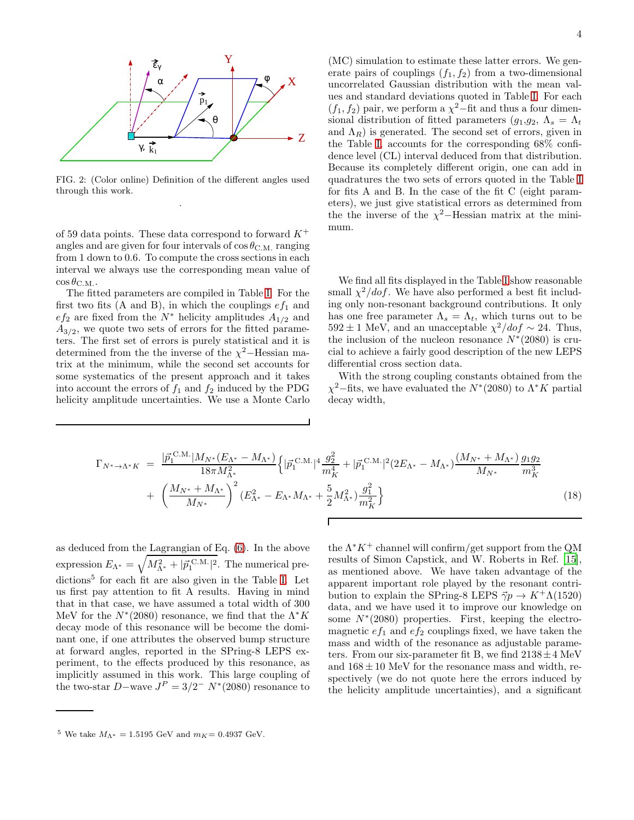

<span id="page-3-0"></span>FIG. 2: (Color online) Definition of the different angles used through this work. .

of 59 data points. These data correspond to forward  $K^+$ angles and are given for four intervals of  $\cos \theta_{\rm C.M.}$  ranging from 1 down to 0.6. To compute the cross sections in each interval we always use the corresponding mean value of  $\cos\theta_{\rm C.M.}.$ 

The fitted parameters are compiled in Table [I.](#page-4-0) For the first two fits (A and B), in which the couplings  $ef_1$  and  $ef_2$  are fixed from the  $N^*$  helicity amplitudes  $A_{1/2}$  and  $A_{3/2}$ , we quote two sets of errors for the fitted parameters. The first set of errors is purely statistical and it is determined from the the inverse of the  $\chi^2$ –Hessian matrix at the minimum, while the second set accounts for some systematics of the present approach and it takes into account the errors of  $f_1$  and  $f_2$  induced by the PDG helicity amplitude uncertainties. We use a Monte Carlo

(MC) simulation to estimate these latter errors. We generate pairs of couplings  $(f_1, f_2)$  from a two-dimensional uncorrelated Gaussian distribution with the mean values and standard deviations quoted in Table [I.](#page-4-0) For each  $(f_1, f_2)$  pair, we perform a  $\chi^2$ –fit and thus a four dimensional distribution of fitted parameters  $(g_1,g_2, \Lambda_s = \Lambda_t)$ and  $\Lambda_R$ ) is generated. The second set of errors, given in the Table [I,](#page-4-0) accounts for the corresponding 68% confidence level (CL) interval deduced from that distribution. Because its completely different origin, one can add in quadratures the two sets of errors quoted in the Table [I](#page-4-0) for fits A and B. In the case of the fit C (eight parameters), we just give statistical errors as determined from the the inverse of the  $\chi^2$ -Hessian matrix at the minimum.

We find all fits displayed in the Table [I](#page-4-0) show reasonable small  $\chi^2/dof$ . We have also performed a best fit including only non-resonant background contributions. It only has one free parameter  $\Lambda_s = \Lambda_t$ , which turns out to be  $592 \pm 1$  MeV, and an unacceptable  $\chi^2/dof \sim 24$ . Thus, the inclusion of the nucleon resonance  $N^*(2080)$  is crucial to achieve a fairly good description of the new LEPS differential cross section data.

With the strong coupling constants obtained from the  $\chi^2$ –fits, we have evaluated the  $N^*(2080)$  to  $\Lambda^* K$  partial decay width,

$$
\Gamma_{N^* \to \Lambda^* K} = \frac{|\vec{p}_1^{\text{ C.M.}}|M_{N^*}(E_{\Lambda^*} - M_{\Lambda^*})}{18\pi M_{\Lambda^*}^2} \left\{ |\vec{p}_1^{\text{ C.M.}}|^4 \frac{g_2^2}{m_K^4} + |\vec{p}_1^{\text{ C.M.}}|^2 (2E_{\Lambda^*} - M_{\Lambda^*}) \frac{(M_{N^*} + M_{\Lambda^*})}{M_{N^*}} \frac{g_1 g_2}{m_K^3} + \left(\frac{M_{N^*} + M_{\Lambda^*}}{M_{N^*}}\right)^2 (E_{\Lambda^*}^2 - E_{\Lambda^*} M_{\Lambda^*} + \frac{5}{2} M_{\Lambda^*}^2) \frac{g_1^2}{m_K^2} \right\}
$$
\n(18)

as deduced from the Lagrangian of Eq. [\(6\)](#page-1-3). In the above expression  $E_{\Lambda^*} = \sqrt{M_{\Lambda^*}^2 + |\vec{p}_1^{\text{C.M.}}|^2}$ . The numerical pre-dictions<sup>5</sup> for each fit are also given in the Table [I.](#page-4-0) Let us first pay attention to fit A results. Having in mind that in that case, we have assumed a total width of 300 MeV for the  $N^*(2080)$  resonance, we find that the  $\Lambda^* K$ decay mode of this resonance will be become the dominant one, if one attributes the observed bump structure at forward angles, reported in the SPring-8 LEPS experiment, to the effects produced by this resonance, as implicitly assumed in this work. This large coupling of the two-star  $D$ –wave  $J<sup>P</sup> = 3/2<sup>-</sup> N<sup>*</sup>(2080)$  resonance to

the  $\Lambda^* K^+$  channel will confirm/get support from the QM results of Simon Capstick, and W. Roberts in Ref. [\[15\]](#page-7-14), as mentioned above. We have taken advantage of the apparent important role played by the resonant contribution to explain the SPring-8 LEPS  $\vec{\gamma}p \rightarrow K^+\Lambda(1520)$ data, and we have used it to improve our knowledge on some  $N^*(2080)$  properties. First, keeping the electromagnetic  $ef_1$  and  $ef_2$  couplings fixed, we have taken the mass and width of the resonance as adjustable parameters. From our six-parameter fit B, we find  $2138 \pm 4$  MeV and  $168 \pm 10$  MeV for the resonance mass and width, respectively (we do not quote here the errors induced by the helicity amplitude uncertainties), and a significant

<sup>&</sup>lt;sup>5</sup> We take  $M_{\Lambda^*} = 1.5195$  GeV and  $m_K = 0.4937$  GeV.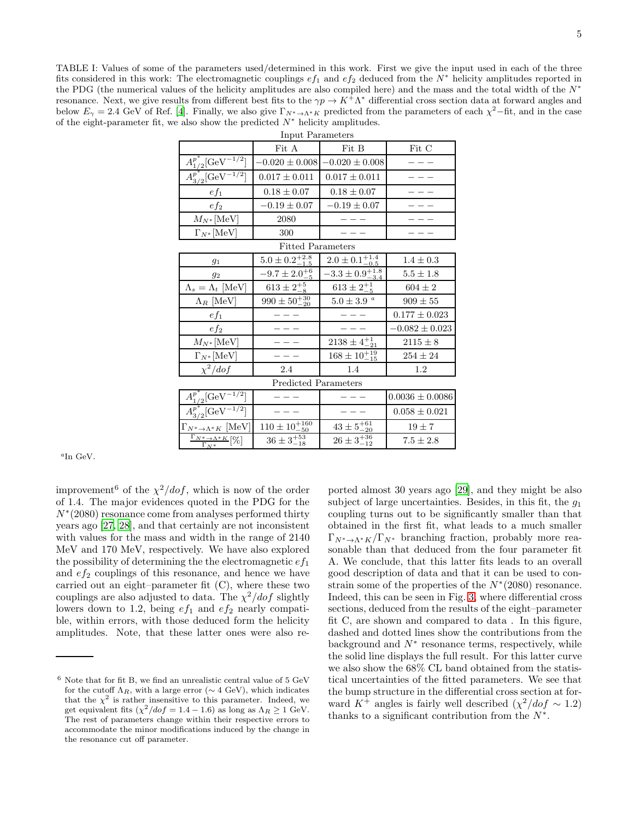<span id="page-4-0"></span>TABLE I: Values of some of the parameters used/determined in this work. First we give the input used in each of the three fits considered in this work: The electromagnetic couplings  $ef_1$  and  $ef_2$  deduced from the  $N^*$  helicity amplitudes reported in the PDG (the numerical values of the helicity amplitudes are also compiled here) and the mass and the total width of the  $N^*$ resonance. Next, we give results from different best fits to the  $\gamma p \to K^{\hat{+}} \Lambda^*$  differential cross section data at forward angles and below  $E_{\gamma} = 2.4$  GeV of Ref. [\[4\]](#page-7-3). Finally, we also give  $\Gamma_{N^* \to \Lambda^* K}$  predicted from the parameters of each  $\chi^2$ -fit, and in the case of the eight-parameter fit, we also show the predicted  $N^*$  helicity amplitudes.

| Input Parameters                                                        |                             |                                        |                     |
|-------------------------------------------------------------------------|-----------------------------|----------------------------------------|---------------------|
|                                                                         | Fit A                       | Fit B                                  | $\rm{Fit}$ $\rm{C}$ |
|                                                                         | $-0.020 \pm 0.008$          | $-0.020 \pm 0.008$                     |                     |
| $\frac{A^{p^*}_{1/2}[\rm{GeV}^{-1/2}]}{A^{p^*}_{3/2}[\rm{GeV}^{-1/2}]}$ | $0.017 \pm 0.011$           | $0.017 \pm 0.011$                      |                     |
| $ef_1$                                                                  | $0.18 \pm 0.07$             | $0.18 \pm 0.07$                        |                     |
| $ef_2$                                                                  | $-0.19 \pm 0.07$            | $-0.19\pm0.07$                         |                     |
| $M_{N^*}$ [MeV]                                                         | 2080                        |                                        |                     |
| $\Gamma_{N^*}$ [MeV]                                                    | 300                         |                                        |                     |
| <b>Fitted Parameters</b>                                                |                             |                                        |                     |
| $g_1$                                                                   | $5.0 \pm 0.2^{+2.8}_{-1.5}$ | $2.0 \pm 0.1_{-0.5}^{+1.4}$            | $1.4 \pm 0.3$       |
| 92                                                                      | $-9.7 \pm 2.0^{+6}_{-5}$    | $\overline{-3.3\pm 0.9^{+1.8}_{-3.4}}$ | $5.5\pm1.8$         |
| $\Lambda_s = \Lambda_t \text{[MeV]}$                                    | $613 \pm 2^{+5}_{-8}$       | $613 \pm 2^{+1}_{-5}$                  | $604 \pm 2$         |
| $\Lambda_R$ [MeV]                                                       | $990 \pm 50^{+30}_{-20}$    | $5.0\pm3.9$ $^a$                       | $909 \pm 55$        |
| $ef_1$                                                                  |                             |                                        | $0.177 \pm 0.023$   |
| $ef_2$                                                                  |                             |                                        | $-0.082 \pm 0.023$  |
| $M_{N^*}$ [MeV]                                                         |                             | $2138 \pm 4^{+1}_{-21}$                | $2115 \pm 8$        |
| $\Gamma_{N^*}[\rm MeV]$                                                 |                             | $168 \pm 10^{+19}_{-15}$               | $254\pm24$          |
| $\chi^2/dof$                                                            | 2.4                         | 1.4                                    | 1.2                 |
| Predicted Parameters                                                    |                             |                                        |                     |
| $\frac{A^{p^*}_{1/2}[\rm{GeV}^{-1/2}]}{A^{p^*}_{3/2}[\rm{GeV}^{-1/2}]}$ |                             |                                        | $0.0036 \pm 0.0086$ |
|                                                                         |                             |                                        | $0.058\pm0.021$     |
| $\Gamma_{N^*\to\Lambda^*K}$ [MeV]                                       | $110 \pm 10^{+160}_{-50}$   | $43 \pm 5^{+61}_{-20}$                 | $19 \pm 7$          |
| $\frac{\Gamma_{N^* \to \Lambda^* K}}{\Gamma_{N^*}} [\%]$                | $36 \pm 3^{+53}_{-18}$      | $26 \pm 3^{+36}_{-12}$                 | $7.5\pm2.8$         |

a In GeV.

improvement<sup>6</sup> of the  $\chi^2/dof$ , which is now of the order of 1.4. The major evidences quoted in the PDG for the N<sup>∗</sup> (2080) resonance come from analyses performed thirty years ago [\[27,](#page-7-24) [28](#page-8-0)], and that certainly are not inconsistent with values for the mass and width in the range of 2140 MeV and 170 MeV, respectively. We have also explored the possibility of determining the the electromagnetic  $ef_1$ and  $ef_2$  couplings of this resonance, and hence we have carried out an eight–parameter fit (C), where these two couplings are also adjusted to data. The  $\chi^2/dof$  slightly lowers down to 1.2, being  $ef_1$  and  $ef_2$  nearly compatible, within errors, with those deduced form the helicity amplitudes. Note, that these latter ones were also re-

 $\Gamma_N*$ 

ported almost 30 years ago [\[29\]](#page-8-1), and they might be also subject of large uncertainties. Besides, in this fit, the  $q_1$ coupling turns out to be significantly smaller than that obtained in the first fit, what leads to a much smaller  $\Gamma_{N^*\to\Lambda^*K}/\Gamma_{N^*}$  branching fraction, probably more reasonable than that deduced from the four parameter fit A. We conclude, that this latter fits leads to an overall good description of data and that it can be used to constrain some of the properties of the  $N^*(2080)$  resonance. Indeed, this can be seen in Fig. [3,](#page-5-0) where differential cross sections, deduced from the results of the eight–parameter fit C, are shown and compared to data . In this figure, dashed and dotted lines show the contributions from the background and  $N^*$  resonance terms, respectively, while the solid line displays the full result. For this latter curve we also show the 68% CL band obtained from the statistical uncertainties of the fitted parameters. We see that the bump structure in the differential cross section at forward  $K^+$  angles is fairly well described  $(\chi^2/dof \sim 1.2)$ thanks to a significant contribution from the  $N^*$ .

 $6$  Note that for fit B, we find an unrealistic central value of  $5 \text{ GeV}$ for the cutoff  $\Lambda_R$ , with a large error ( $\sim$  4 GeV), which indicates that the  $\chi^2$  is rather insensitive to this parameter. Indeed, we get equivalent fits  $(\chi^2/dof = 1.4 - 1.6)$  as long as  $\Lambda_R \ge 1$  GeV. The rest of parameters change within their respective errors to accommodate the minor modifications induced by the change in the resonance cut off parameter.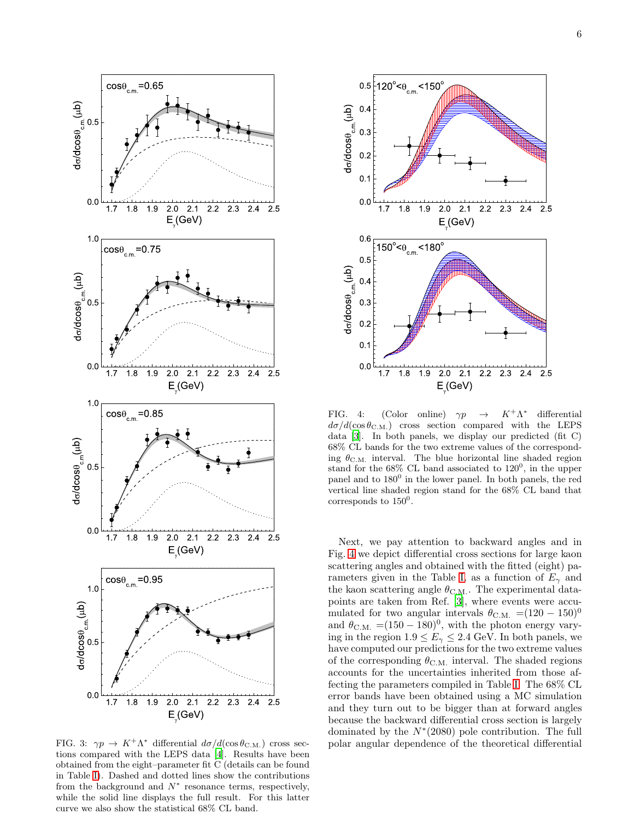

<span id="page-5-0"></span>FIG. 3:  $\gamma p \to K^+ \Lambda^*$  differential  $d\sigma/d(\cos\theta_{\rm C.M.})$  cross sections compared with the LEPS data [\[4](#page-7-3)]. Results have been obtained from the eight–parameter fit C (details can be found in Table [I\)](#page-4-0). Dashed and dotted lines show the contributions from the background and  $N^*$  resonance terms, respectively, while the solid line displays the full result. For this latter curve we also show the statistical 68% CL band.



<span id="page-5-1"></span>FIG. 4: (Color online)  $\gamma p \rightarrow$  $K^+\Lambda^*$ differential  $d\sigma/d(\cos\theta_{\rm C.M.})$  cross section compared with the LEPS data [\[3](#page-7-2)]. In both panels, we display our predicted (fit C) 68% CL bands for the two extreme values of the corresponding  $\theta_{\rm C.M.}$  interval. The blue horizontal line shaded region stand for the  $68\%$  CL band associated to  $120^0$ , in the upper panel and to  $180^0$  in the lower panel. In both panels, the red vertical line shaded region stand for the 68% CL band that corresponds to  $150^0$ .

Next, we pay attention to backward angles and in Fig. [4](#page-5-1) we depict differential cross sections for large kaon scattering angles and obtained with the fitted (eight) pa-rameters given in the Table [I,](#page-4-0) as a function of  $E_{\gamma}$  and the kaon scattering angle  $\theta_{\rm C.M.}$ . The experimental datapoints are taken from Ref. [\[3\]](#page-7-2), where events were accumulated for two angular intervals  $\theta_{\text{C.M.}} = (120 - 150)^0$ and  $\theta_{\text{C.M.}} = (150 - 180)^0$ , with the photon energy varying in the region  $1.9 \leq E_{\gamma} \leq 2.4$  GeV. In both panels, we have computed our predictions for the two extreme values of the corresponding  $\theta_{\rm C.M.}$  interval. The shaded regions accounts for the uncertainties inherited from those affecting the parameters compiled in Table [I.](#page-4-0) The 68% CL error bands have been obtained using a MC simulation and they turn out to be bigger than at forward angles because the backward differential cross section is largely dominated by the  $N^*(2080)$  pole contribution. The full polar angular dependence of the theoretical differential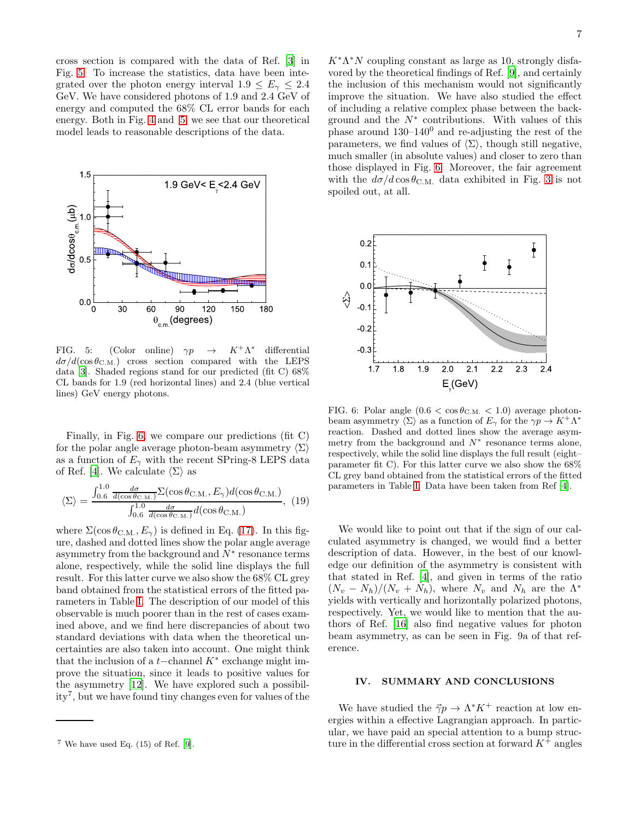cross section is compared with the data of Ref. [\[3](#page-7-2)] in Fig. [5.](#page-6-1) To increase the statistics, data have been integrated over the photon energy interval  $1.9 \leq E_{\gamma} \leq 2.4$ GeV. We have considered photons of 1.9 and 2.4 GeV of energy and computed the 68% CL error bands for each energy. Both in Fig. [4](#page-5-1) and [5,](#page-6-1) we see that our theoretical model leads to reasonable descriptions of the data.



<span id="page-6-1"></span>FIG. 5: (Color online)  $\gamma p \rightarrow$  $K^+\Lambda^*$ differential  $d\sigma/d(\cos\theta_{\rm C.M.})$  cross section compared with the LEPS data [\[3](#page-7-2)]. Shaded regions stand for our predicted (fit C) 68% CL bands for 1.9 (red horizontal lines) and 2.4 (blue vertical lines) GeV energy photons.

Finally, in Fig. [6,](#page-6-2) we compare our predictions (fit C) for the polar angle average photon-beam asymmetry  $\langle \Sigma \rangle$ as a function of  $E_{\gamma}$  with the recent SPring-8 LEPS data of Ref. [\[4\]](#page-7-3). We calculate  $\langle \Sigma \rangle$  as

$$
\langle \Sigma \rangle = \frac{\int_{0.6}^{1.0} \frac{d\sigma}{d(\cos \theta_{\text{C.M.}})} \Sigma(\cos \theta_{\text{C.M.}}, E_{\gamma}) d(\cos \theta_{\text{C.M.}})}{\int_{0.6}^{1.0} \frac{d\sigma}{d(\cos \theta_{\text{C.M.}})} d(\cos \theta_{\text{C.M.}})}, (19)
$$

where  $\Sigma(\cos \theta_{\rm C.M.}, E_{\gamma})$  is defined in Eq. [\(17\)](#page-2-1). In this figure, dashed and dotted lines show the polar angle average asymmetry from the background and  $\overline{N^*}$  resonance terms alone, respectively, while the solid line displays the full result. For this latter curve we also show the 68% CL grey band obtained from the statistical errors of the fitted parameters in Table [I.](#page-4-0) The description of our model of this observable is much poorer than in the rest of cases examined above, and we find here discrepancies of about two standard deviations with data when the theoretical uncertainties are also taken into account. One might think that the inclusion of a  $t$ −channel  $K^*$  exchange might improve the situation, since it leads to positive values for the asymmetry [\[12\]](#page-7-11). We have explored such a possibility<sup>7</sup> , but we have found tiny changes even for values of the

 $K^*\Lambda^*N$  coupling constant as large as 10, strongly disfavored by the theoretical findings of Ref. [\[9](#page-7-8)], and certainly the inclusion of this mechanism would not significantly improve the situation. We have also studied the effect of including a relative complex phase between the background and the  $N^*$  contributions. With values of this phase around  $130-140^0$  and re-adjusting the rest of the parameters, we find values of  $\langle \Sigma \rangle$ , though still negative, much smaller (in absolute values) and closer to zero than those displayed in Fig. [6.](#page-6-2) Moreover, the fair agreement with the  $d\sigma/d\cos\theta_{\rm C.M.}$  data exhibited in Fig. [3](#page-5-0) is not spoiled out, at all.



<span id="page-6-2"></span>FIG. 6: Polar angle  $(0.6 < \cos \theta_{\text{C.M.}} < 1.0)$  average photonbeam asymmetry  $\langle \Sigma \rangle$  as a function of  $E_{\gamma}$  for the  $\gamma p \to K^+ \Lambda^*$ reaction. Dashed and dotted lines show the average asymmetry from the background and  $N^*$  resonance terms alone, respectively, while the solid line displays the full result (eight– parameter fit C). For this latter curve we also show the 68% CL grey band obtained from the statistical errors of the fitted parameters in Table [I.](#page-4-0) Data have been taken from Ref [\[4](#page-7-3)].

We would like to point out that if the sign of our calculated asymmetry is changed, we would find a better description of data. However, in the best of our knowledge our definition of the asymmetry is consistent with that stated in Ref. [\[4\]](#page-7-3), and given in terms of the ratio  $(N_v - N_h)/(N_v + N_h)$ , where  $N_v$  and  $N_h$  are the  $\Lambda^*$ yields with vertically and horizontally polarized photons, respectively. Yet, we would like to mention that the authors of Ref. [\[16](#page-7-15)] also find negative values for photon beam asymmetry, as can be seen in Fig. 9a of that reference.

## <span id="page-6-0"></span>IV. SUMMARY AND CONCLUSIONS

We have studied the  $\vec{\gamma}p \to \Lambda^* K^+$  reaction at low energies within a effective Lagrangian approach. In particular, we have paid an special attention to a bump structure in the differential cross section at forward  $K^+$  angles

 $7$  We have used Eq.  $(15)$  of Ref. [\[9](#page-7-8)].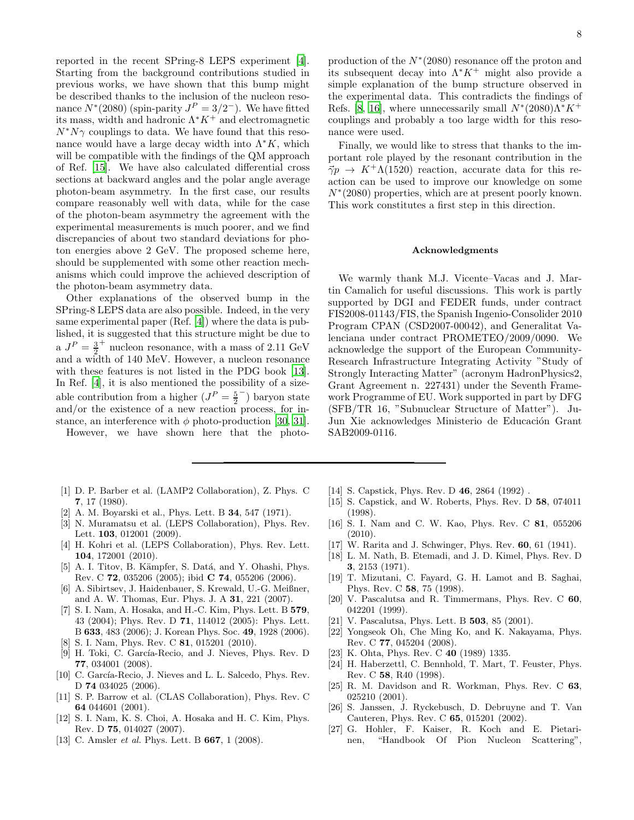reported in the recent SPring-8 LEPS experiment [\[4\]](#page-7-3). Starting from the background contributions studied in previous works, we have shown that this bump might be described thanks to the inclusion of the nucleon resonance  $N^*(2080)$  (spin-parity  $J^P = 3/2^-$ ). We have fitted its mass, width and hadronic  $\Lambda^* K^+$  and electromagnetic  $N^*N\gamma$  couplings to data. We have found that this resonance would have a large decay width into  $\Lambda^* K$ , which will be compatible with the findings of the OM approach of Ref. [\[15\]](#page-7-14). We have also calculated differential cross sections at backward angles and the polar angle average photon-beam asymmetry. In the first case, our results compare reasonably well with data, while for the case of the photon-beam asymmetry the agreement with the experimental measurements is much poorer, and we find discrepancies of about two standard deviations for photon energies above 2 GeV. The proposed scheme here, should be supplemented with some other reaction mechanisms which could improve the achieved description of the photon-beam asymmetry data.

Other explanations of the observed bump in the SPring-8 LEPS data are also possible. Indeed, in the very same experimental paper (Ref. [\[4](#page-7-3)]) where the data is published, it is suggested that this structure might be due to a  $J^P = \frac{3}{2}$ + nucleon resonance, with a mass of 2.11 GeV and a width of 140 MeV. However, a nucleon resonance with these features is not listed in the PDG book [\[13\]](#page-7-12). In Ref. [\[4\]](#page-7-3), it is also mentioned the possibility of a sizeable contribution from a higher  $(J^P = \frac{5}{2})$ − ) baryon state and/or the existence of a new reaction process, for instance, an interference with  $\phi$  photo-production [\[30,](#page-8-2) [31\]](#page-8-3).

However, we have shown here that the photo-

- <span id="page-7-0"></span>[1] D. P. Barber et al. (LAMP2 Collaboration), Z. Phys. C 7, 17 (1980).
- <span id="page-7-1"></span>[2] A. M. Boyarski et al., Phys. Lett. B 34, 547 (1971).
- <span id="page-7-2"></span>[3] N. Muramatsu et al. (LEPS Collaboration), Phys. Rev. Lett. **103**, 012001 (2009).
- <span id="page-7-3"></span>[4] H. Kohri et al. (LEPS Collaboration), Phys. Rev. Lett. 104, 172001 (2010).
- <span id="page-7-4"></span>[5] A. I. Titov, B. Kämpfer, S. Datá, and Y. Ohashi, Phys. Rev. C 72, 035206 (2005); ibid C 74, 055206 (2006).
- <span id="page-7-5"></span>[6] A. Sibirtsev, J. Haidenbauer, S. Krewald, U.-G. Meißner, and A. W. Thomas, Eur. Phys. J. A 31, 221 (2007).
- <span id="page-7-6"></span>[7] S. I. Nam, A. Hosaka, and H.-C. Kim, Phys. Lett. B 579, 43 (2004); Phys. Rev. D 71, 114012 (2005): Phys. Lett. B 633, 483 (2006); J. Korean Phys. Soc. 49, 1928 (2006).
- <span id="page-7-7"></span>[8] S. I. Nam, Phys. Rev. C **81**, 015201 (2010).
- <span id="page-7-8"></span>[9] H. Toki, C. García-Recio, and J. Nieves, Phys. Rev. D 77, 034001 (2008).
- <span id="page-7-9"></span>[10] C. García-Recio, J. Nieves and L. L. Salcedo, Phys. Rev. D 74 034025 (2006).
- <span id="page-7-10"></span>[11] S. P. Barrow et al. (CLAS Collaboration), Phys. Rev. C 64 044601 (2001).
- <span id="page-7-11"></span>[12] S. I. Nam, K. S. Choi, A. Hosaka and H. C. Kim, Phys. Rev. D 75, 014027 (2007).
- <span id="page-7-12"></span>[13] C. Amsler *et al.* Phys. Lett. B **667**, 1 (2008).
- <span id="page-7-13"></span>[14] S. Capstick, Phys. Rev. D **46**, 2864 (1992).
- <span id="page-7-14"></span>[15] S. Capstick, and W. Roberts, Phys. Rev. D 58, 074011 (1998).
- <span id="page-7-15"></span>[16] S. I. Nam and C. W. Kao, Phys. Rev. C 81, 055206  $(2010).$
- <span id="page-7-16"></span>[17] W. Rarita and J. Schwinger, Phys. Rev. **60**, 61 (1941).
- <span id="page-7-17"></span>[18] L. M. Nath, B. Etemadi, and J. D. Kimel, Phys. Rev. D 3, 2153 (1971).
- <span id="page-7-18"></span>[19] T. Mizutani, C. Fayard, G. H. Lamot and B. Saghai, Phys. Rev. C 58, 75 (1998).
- [20] V. Pascalutsa and R. Timmermans, Phys. Rev. C 60, 042201 (1999).
- <span id="page-7-19"></span>[21] V. Pascalutsa, Phys. Lett. B **503**, 85 (2001).
- <span id="page-7-20"></span>[22] Yongseok Oh, Che Ming Ko, and K. Nakayama, Phys. Rev. C 77, 045204 (2008).
- <span id="page-7-21"></span>[23] K. Ohta, Phys. Rev. C 40 (1989) 1335.
- <span id="page-7-23"></span>[24] H. Haberzettl, C. Bennhold, T. Mart, T. Feuster, Phys. Rev. C 58, R40 (1998).
- [25] R. M. Davidson and R. Workman, Phys. Rev. C 63, 025210 (2001).
- <span id="page-7-22"></span>[26] S. Janssen, J. Ryckebusch, D. Debruyne and T. Van Cauteren, Phys. Rev. C 65, 015201 (2002).
- <span id="page-7-24"></span>[27] G. Hohler, F. Kaiser, R. Koch and E. Pietarinen, "Handbook Of Pion Nucleon Scattering",

production of the  $N^*(2080)$  resonance off the proton and its subsequent decay into  $\Lambda^* K^+$  might also provide a simple explanation of the bump structure observed in the experimental data. This contradicts the findings of Refs. [\[8](#page-7-7), [16\]](#page-7-15), where unnecessarily small  $N^*(2080)\Lambda^*K^+$ couplings and probably a too large width for this resonance were used.

Finally, we would like to stress that thanks to the important role played by the resonant contribution in the  $\vec{\gamma}p \rightarrow K^+\Lambda(1520)$  reaction, accurate data for this reaction can be used to improve our knowledge on some N<sup>∗</sup> (2080) properties, which are at present poorly known. This work constitutes a first step in this direction.

#### Acknowledgments

We warmly thank M.J. Vicente–Vacas and J. Martin Camalich for useful discussions. This work is partly supported by DGI and FEDER funds, under contract FIS2008-01143/FIS, the Spanish Ingenio-Consolider 2010 Program CPAN (CSD2007-00042), and Generalitat Valenciana under contract PROMETEO/2009/0090. We acknowledge the support of the European Community-Research Infrastructure Integrating Activity "Study of Strongly Interacting Matter" (acronym HadronPhysics2, Grant Agreement n. 227431) under the Seventh Framework Programme of EU. Work supported in part by DFG (SFB/TR 16, "Subnuclear Structure of Matter"). Ju-Jun Xie acknowledges Ministerio de Educación Grant SAB2009-0116.